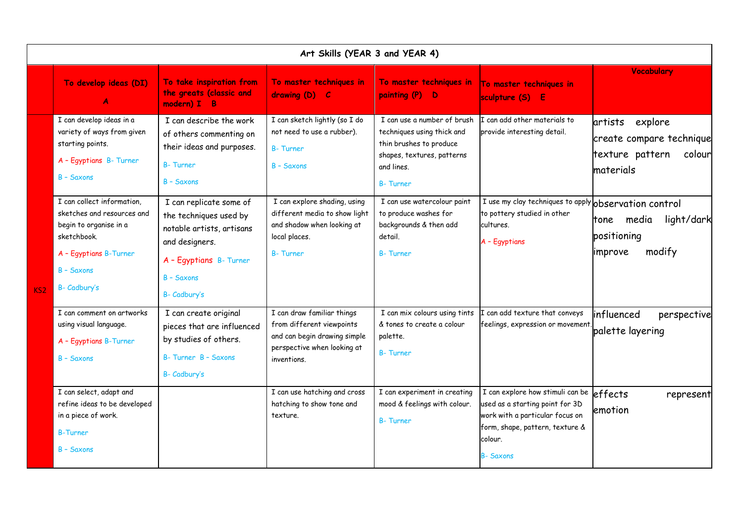| Art Skills (YEAR 3 and YEAR 4) |                                                                                                                                                           |                                                                                                                                                           |                                                                                                                                       |                                                                                                                                                     |                                                                                                                                                                         |                                                                                          |  |  |  |  |
|--------------------------------|-----------------------------------------------------------------------------------------------------------------------------------------------------------|-----------------------------------------------------------------------------------------------------------------------------------------------------------|---------------------------------------------------------------------------------------------------------------------------------------|-----------------------------------------------------------------------------------------------------------------------------------------------------|-------------------------------------------------------------------------------------------------------------------------------------------------------------------------|------------------------------------------------------------------------------------------|--|--|--|--|
|                                | To develop ideas (DI)<br>A                                                                                                                                | To take inspiration from<br>the greats (classic and<br>modern) I B                                                                                        | To master techniques in<br>drawing (D) C                                                                                              | To master techniques in<br>painting (P) D                                                                                                           | To master techniques in<br>sculpture (S) E                                                                                                                              | Vocabulary                                                                               |  |  |  |  |
| KS <sub>2</sub>                | I can develop ideas in a<br>variety of ways from given<br>starting points.<br>A - Egyptians B- Turner<br>B - Saxons                                       | I can describe the work<br>of others commenting on<br>their ideas and purposes.<br><b>B-Turner</b><br>B - Saxons                                          | I can sketch lightly (so I do<br>not need to use a rubber).<br><b>B-Turner</b><br><b>B</b> - Saxons                                   | I can use a number of brush<br>techniques using thick and<br>thin brushes to produce<br>shapes, textures, patterns<br>and lines.<br><b>B-Turner</b> | I can add other materials to<br>provide interesting detail.                                                                                                             | explore<br>artists<br>create compare technique<br>texture pattern<br>colour<br>materials |  |  |  |  |
|                                | I can collect information,<br>sketches and resources and<br>begin to organise in a<br>sketchbook.<br>A - Egyptians B-Turner<br>B - Saxons<br>B- Cadbury's | I can replicate some of<br>the techniques used by<br>notable artists, artisans<br>and designers.<br>A - Egyptians B- Turner<br>B - Saxons<br>B- Cadbury's | I can explore shading, using<br>different media to show light<br>and shadow when looking at<br>local places.<br><b>B-Turner</b>       | I can use watercolour paint<br>to produce washes for<br>backgrounds & then add<br>detail.<br><b>B-Turner</b>                                        | I use my clay techniques to apply observation control<br>to pottery studied in other<br>cultures.<br>A - Egyptians                                                      | light/dark<br>tone media<br>positioning<br>modify<br>improve                             |  |  |  |  |
|                                | I can comment on artworks<br>using visual language.<br>A - Egyptians B-Turner<br>$B - Saxons$                                                             | I can create original<br>pieces that are influenced<br>by studies of others.<br>B-Turner B - Saxons<br>B- Cadbury's                                       | I can draw familiar things<br>from different viewpoints<br>and can begin drawing simple<br>perspective when looking at<br>inventions. | I can mix colours using tints<br>& tones to create a colour<br>palette.<br><b>B-Turner</b>                                                          | I can add texture that conveys<br>feelings, expression or movement                                                                                                      | influenced<br>perspective<br>palette layering                                            |  |  |  |  |
|                                | I can select, adapt and<br>refine ideas to be developed<br>in a piece of work.<br><b>B-Turner</b><br>$B - S$ axons                                        |                                                                                                                                                           | I can use hatching and cross<br>hatching to show tone and<br>texture.                                                                 | I can experiment in creating<br>mood & feelings with colour.<br><b>B-Turner</b>                                                                     | I can explore how stimuli can be<br>used as a starting point for 3D<br>work with a particular focus on<br>form, shape, pattern, texture &<br>colour.<br><b>B-Saxons</b> | effects<br>represent<br>emotion                                                          |  |  |  |  |